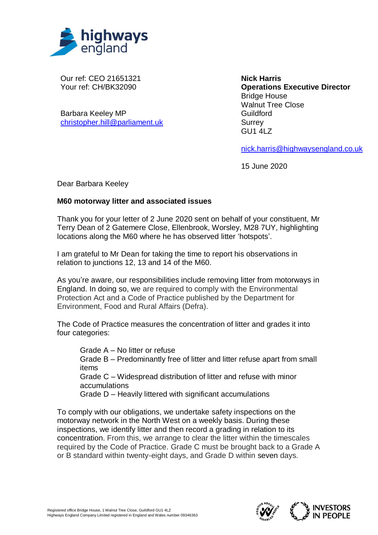

Our ref: CEO 21651321 Your ref: CH/BK32090

Barbara Keeley MP [christopher.hill@parliament.uk](mailto:christopher.hill@parliament.uk)

**Nick Harris Operations Executive Director** Bridge House Walnut Tree Close Guildford **Surrey** GU1 4LZ

[nick.harris@highwaysengland.co.uk](mailto:nick.harris@highwaysengland.co.uk)

15 June 2020

Dear Barbara Keeley

## **M60 motorway litter and associated issues**

Thank you for your letter of 2 June 2020 sent on behalf of your constituent, Mr Terry Dean of 2 Gatemere Close, Ellenbrook, Worsley, M28 7UY, highlighting locations along the M60 where he has observed litter 'hotspots'.

I am grateful to Mr Dean for taking the time to report his observations in relation to junctions 12, 13 and 14 of the M60.

As you're aware, our responsibilities include removing litter from motorways in England. In doing so, we are required to comply with the Environmental Protection Act and a Code of Practice published by the Department for Environment, Food and Rural Affairs (Defra).

The Code of Practice measures the concentration of litter and grades it into four categories:

Grade A – No litter or refuse

Grade B – Predominantly free of litter and litter refuse apart from small items

Grade C – Widespread distribution of litter and refuse with minor accumulations

Grade D – Heavily littered with significant accumulations

To comply with our obligations, we undertake safety inspections on the motorway network in the North West on a weekly basis. During these inspections, we identify litter and then record a grading in relation to its concentration. From this, we arrange to clear the litter within the timescales required by the Code of Practice. Grade C must be brought back to a Grade A or B standard within twenty-eight days, and Grade D within seven days.